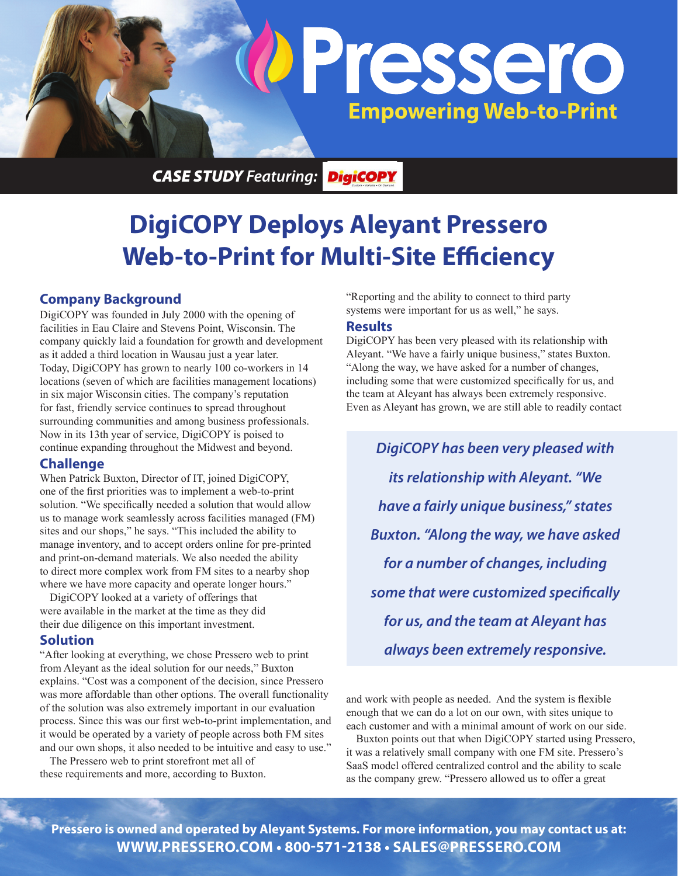

*CASE STUDY Featuring:*

# **DigiCOPY Deploys Aleyant Pressero Web-to-Print for Multi-Site Efficiency**

### **Company Background**

DigiCOPY was founded in July 2000 with the opening of facilities in Eau Claire and Stevens Point, Wisconsin. The company quickly laid a foundation for growth and development as it added a third location in Wausau just a year later. Today, DigiCOPY has grown to nearly 100 co-workers in 14 locations (seven of which are facilities management locations) in six major Wisconsin cities. The company's reputation for fast, friendly service continues to spread throughout surrounding communities and among business professionals. Now in its 13th year of service, DigiCOPY is poised to continue expanding throughout the Midwest and beyond.

### **Challenge**

When Patrick Buxton, Director of IT, joined DigiCOPY, one of the first priorities was to implement a web-to-print solution. "We specifically needed a solution that would allow us to manage work seamlessly across facilities managed (FM) sites and our shops," he says. "This included the ability to manage inventory, and to accept orders online for pre-printed and print-on-demand materials. We also needed the ability to direct more complex work from FM sites to a nearby shop where we have more capacity and operate longer hours."

DigiCOPY looked at a variety of offerings that were available in the market at the time as they did their due diligence on this important investment.

### **Solution**

"After looking at everything, we chose Pressero web to print from Aleyant as the ideal solution for our needs," Buxton explains. "Cost was a component of the decision, since Pressero was more affordable than other options. The overall functionality of the solution was also extremely important in our evaluation process. Since this was our first web-to-print implementation, and it would be operated by a variety of people across both FM sites and our own shops, it also needed to be intuitive and easy to use."

The Pressero web to print storefront met all of these requirements and more, according to Buxton. "Reporting and the ability to connect to third party systems were important for us as well," he says.

#### **Results**

DigiCOPY has been very pleased with its relationship with Aleyant. "We have a fairly unique business," states Buxton. "Along the way, we have asked for a number of changes, including some that were customized specifically for us, and the team at Aleyant has always been extremely responsive. Even as Aleyant has grown, we are still able to readily contact

*DigiCOPY has been very pleased with its relationship with Aleyant. "We have a fairly unique business," states Buxton. "Along the way, we have asked for a number of changes, including some that were customized specifically for us, and the team at Aleyant has always been extremely responsive.* 

and work with people as needed. And the system is flexible enough that we can do a lot on our own, with sites unique to each customer and with a minimal amount of work on our side. Buxton points out that when DigiCOPY started using Pressero, it was a relatively small company with one FM site. Pressero's SaaS model offered centralized control and the ability to scale as the company grew. "Pressero allowed us to offer a great

**Pressero is owned and operated by Aleyant Systems. For more information, you may contact us at: WWW.PRESSERO.COM • 800-571-2138 • SALES@PRESSERO.COM**